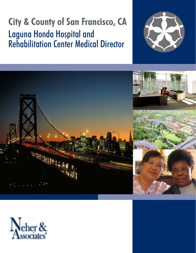# **City & County of San Francisco, CA** Laguna Honda Hospital and Rehabilitation Center Medical Director





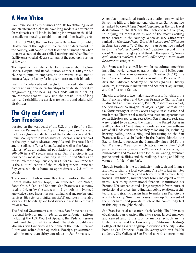### **A New Vision**

San Francisco is a city of innovation. Its breathtaking views and Mediterranean climate have long made it a destination for visionaries of all kinds, including innovators in the fields of medicine, nursing, rehabilitation and other healing arts.

In April of 2010, the San Francisco Department of Public Health, one of the largest municipal health departments in the country, will continue that tradition of innovation when it opens a state-of-the art skilled nursing and rehabilitation facility on a wooded, 62 acre campus at the geographic center of the city.

The Department's strategic plan for the newly rebuilt Laguna Honda Hospital and Rehabilitation Center, a 140 year old civic icon, puts an emphasis on innovative excellence to create a flagship facility for long term care and rehabilitation.

Featuring evidence-based design for improved patient outcomes and nationwide partnerships to establish innovative programming, the new Laguna Honda will be a healing environment that will re-vision the possibilities of long term and rehabilitative services for seniors and adults with disabilities.

### **The City and County of San Francisco**

Located on the west coast of the U.S. at the tip of the San Francisco Peninsula, the City and County of San Francisco includes significant stretches of the Pacific Ocean and San Francisco Bay within its boundaries. Several islands are part of the city, notably Alcatraz, Angel Island, Treasure Island and the adjacent Yerba Buena Island as well as the Farallon Islands. With an estimated population of approximately 800,000 in a 47 square mile area, San Francisco is the fourteenth most populous city in the United States and the fourth most populous city in California. San Francisco is the cultural center of the much larger San Francisco Bay Area which is home to approximately 7.2 million people.

The economic hub of nine Bay Area counties: Alameda, Contra Costa, Marin, Napa, San Francisco, San Mateo, Santa Cruz, Solano and Sonoma; San Francisco's economy is also driven by the success and growth of advanced knowledge-based industries such as financial and professional services, life sciences, digital media/IT and tourism-related services like hospitality and food services. It also has a thriving retail sector.

The Federal Government also utilizes San Francisco as the regional hub for many federal agencies/organizations including the U.S. Court of Appeals, the Federal Reserve Bank, and the United States Mint. The State of California also uses San Francisco as the home of the State Supreme Court and other State agencies. Foreign governments maintain more than thirty consulates in San Francisco.

A popular international tourist destination renowned for its rolling hills and international character, San Francisco is ranked by *Condé Nast Travel Magazine* as the top travel destination in the U.S. for the 16th consecutive year, solidifying its reputation as one of the most exciting urban centers in the country. When 25 U.S. Cities were ranked by *Headline News, Travel & Leisure and CNN.com* in *America's Favorite Critics* poll, San Francisco ranked first in the *Notable Neighborhoods* category; second in the *Local Boutiques* category; and third in the *Specialty Stores and Farmer's Markets, Café and Coffee Shops Destination Restaurants* categories.

San Francisco is also well known for its cultural amenities including world renown opera, symphony and ballet companies, the American Conservatory Theater (A.C.T.), the San Francisco Museum of Modern Art, the Palace of Fine Arts, the California Academy of Sciences (Natural History Museum, Morrison Planetarium and Steinhart Aquarium), and the Moscone Center.

The city also boasts two major league sports franchises, the San Francisco 49ers and the San Francisco Giants. There is also the San Francisco Zoo, Pier 39, Fisherman's Wharf, the San Francisco Dragons of Major League Lacrosse, the California Victory of United Soccer League First Division, and much more. There are also ample resources and opportunities for participatory sports and recreation. San Francisco residents were judged to be among the fittest in the United States in a 2006 edition of *Men's Fitness.* Sports and exercise enthusiasts of all kinds can find what they're looking for, including boating, sailing, windsurfing and kitesurfing on the San Francisco Bay, a yacht harbor in the Marina District, the Bay to Breakers footrace (held annually since 1912), the San Francisco Marathon which attracts more than 7,000 participants annually, more than 200 miles of bicycle lanes, the Embarcadero and Marina Green for in-line skating, extensive public tennis facilities and the walking, boating and biking venues in Golden Gate Park.

Though tourism is the top industry, high tech and finance also help anchor the local economy. The city is just minutes away from Silicon Valley and is home as well to many large financial institutions, multinational banks and capital venture firms. Over thirty international financial institutions, six Fortune 500 companies and a large support infrastructure of professional services, including law, public relations, architecture, and graphic design help to make San Francisco a world class city. Small businesses make up 85 percent of the city's firms and provide much of the community feel in this city of neighborhoods.

San Francisco is also a center of scholarship. The University of California, San Francisco (the city's second largest employer and ranked among the top-five medical schools in the United States) and the University of California, Hastings College of the Law are flagship institutions. The city is also home to San Francisco State University with over 30,000 students, City College of San Francisco with an enrollment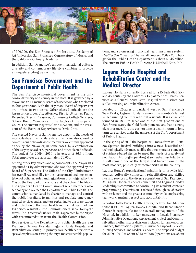

of 100,000, the San Francisco Art Institute, Academy of Art University, San Francisco Conservatory of Music, and the California Culinary Academy.

In addition, San Francisco's unique international culture, diversity and contemporary life-style combine to provide a uniquely exciting way of life.

### **San Francisco Government and the Department of Public Health**

The San Francisco municipal government is the only consolidated city and county in the state. It is governed by a Mayor and an 11-member Board of Supervisors who are elected to four year terms. Both the Mayor and Board of Supervisors are limited to two terms. Other elected officials are the Assessor-Recorder, City Attorney, District Attorney, Public Defender, Sheriff, Treasurer, Community College Trustees, School Board Members and the Judges of the Superior Court. The current Mayor is Gavin Newsom, and the President of the Board of Supervisors is David Chiu.

The elected Mayor of San Francisco appoints the heads of most City departments. Many departments are also advised by commissions or boards whose members are citizens appointed either by the Mayor or, in some cases, by a combination of the Mayor, Board of Supervisors and other elected officials. The budget for 2009 - 2010 is in excess of \$6.6 billion. Total employees are approximately 26,000.

Among other key offices and appointments, the Mayor has appointed a City Administrator who was also approved by the Board of Supervisors. The Office of the City Administrator has overall responsibility for the management and implementation of policies, rules and regulations promulgated by the Mayor, the Board of Supervisors and the voters. The Mayor also appoints a Health Commission of seven members who set policy and oversee the Department of Public Health. The commission is mandated by charter to manage and control the public hospitals, to monitor and regulate emergency medical services and all matters pertaining to the preservation and protection of the lives, health and mental health of San Francisco residents. The Commissioners serve four-year terms. The Director of Public Health is appointed by the Mayor with recommendation from the Health Commission.

Key services in the Department of Public Health are San Francisco General Hospital, Laguna Honda Hospital and Rehabilitation Center, 15 primary care health centers with a special emphasis on serving the city's most vulnerable popula-

tions, and a pioneering municipal health insurance system, *Healthy San Francisco.* The overall proposed 2009 - 2010 budget for the Public Health Department is about \$1.45 billion. The current Public Health Director is Mitchell Katz, MD.

### **Laguna Honda Hospital and Rehabilitation Center and the Medical Director**

Laguna Honda is currently licensed for 915 beds (870 SNF and 45 Acute) by the California Department of Health Services as a General Acute Care Hospital with distinct part skilled nursing and rehabilitation center.

Located on 62-acres of parkland west of San Francisco's Twin Peaks, Laguna Honda is among the country's largest skilled nursing facilities with 780 residents. It is a civic icon founded in 1866 to serve one of the first generations of San Franciscans, the Gold Rush pioneers, and has a strong civic presence. It is the cornerstone of a continuum of long term care services under the umbrella of the City's Department of Public Health.

In the spring of 2010 the hospital will move from its 1920sera Spanish Revival buildings into a new, beautiful and technologically advanced facility that incorporates standards of evidence-based design to meet the needs of a safety-net population. Although operating at somewhat less total beds, it will remain one of the largest and become one of the most modern, physically attractive SNFs in the country.

Laguna Honda's organizational mission is to provide high quality, culturally competent rehabilitation and skilled nursing services to the diverse population of San Francisco. At Laguna Honda residents come first and Laguna Honda's leadership is committed to continuing its resident-centered programming. The mission is achieved through collaboration with residents and the greater community while emphasizing teamwork, mutual respect and accountability.

Reporting to the Public Health Director, the Executive Administrator (CEO) of Laguna Honda Hospital and Rehabilitation Center is responsible for the overall management of the Hospital. In addition to key managers in Legal, Pharmacy, Administrative Operations, Replacement Project and Community Affairs, other major divisions include: Human Resources, Finance, Information Systems, Clinical & Support Services, Nursing Services, and Medical Services. The proposed budget for 2009 - 2010 is about \$312 million (operations are about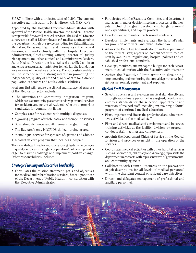\$158.7 million) with a projected staff of 1,200. The current Executive Administrator is Mivic Hirose, RN, MSN, CNS.

Appointed by the Hospital Executive Administrator with approval of the Public Health Director, the Medical Director is responsible for overall medical services. The Medical Director supervises a staff of 120 employees (45 medical staff), appoints the department chiefs of service including for Rehabilitation, Mental and Behavioral Health, and Informatics in the medical division, and works closely with the Hospital Executive Administrator, Chief Nursing Officer, Director of Quality Management and other clinical and administrative leaders. As its Medical Director, the hospital seeks a skilled clinician and entrepreneurial administrator to help lay the foundation for a new era of innovative excellence. The successful candidate will be someone with a strong interest in promoting the independence, quality of life and quality of care for a diverse population of seniors and adults with disabilities.

Programs that will require the clinical and managerial expertise of the Medical Director include:

- The Diversion and Community Integration Program, which seeks community placement and wrap-around services for residents and potential residents who are appropriate candidates for community living
- Complex care for residents with multiple diagnoses
- A growing program of rehabilitative and therapeutic services
- Specialized dementia and Alzheimer's programming
- The Bay Area's only HIV/AIDS skilled nursing program
- Monolingual services for speakers of Spanish and Chinese
- A palliative care program that includes a hospice

The new Medical Director must be a strong leader who believes in quality services, strategic cooperation/partnership and is eager to assume challenge and implement positive change. Other responsibilities include:

#### **Strategic Planning and Executive Leadership**

• Formulates the mission statement, goals and objectives for medical and rehabilitation services, based upon those of the Department of Public Health in consultation with the Executive Administrator.

- Participates with the Executive Committee and department managers in major decision making processes of the hospital including program development, budget planning and expenditures, and capital projects.
- Develops and administers professional contracts.
- Develops, implements and evaluates the hospital's plan for provision of medical and rehabilitative care.
- Advises the Executive Administrator on matters pertaining to the medical staff; reports on compliance with medical staff bylaws, rules, regulations, hospital policies and established professional standards.
- Develops, monitors, and manages a budget for each department in collaboration with the Executive Administrator.
- Assists the Executive Administrator in developing, implementing and monitoring the annual departmental budget for personnel, equipment and supplies.

#### **Medical Staff Management**

- Selects, supervises and evaluates medical staff directly and through subordinate personnel as assigned; develops and enforces standards for the selection, appointment and retention of medical staff, including maintaining a formal program of continued medical education.
- Plans, organizes and directs the professional and administrative activities of the medical staff.
- Plans and directs medical staff development and in-service training activities at the facility, division, or program; conducts staff meetings and conferences.
- Appoints the Department Chiefs of Service in the Medical Division and provides oversight in the operation of the services.
- Coordinates medical activities with other hospital services such as laboratories, pharmacy and radiology; represents the department in contacts with representatives of governmental and community agencies.
- Collaborates with Human Resources on the preparation of job descriptions for all levels of medical personnel within the changing context of resident care objectives.
- Directs and delegates management of professional and ancillary personnel.

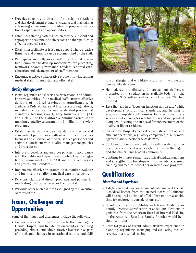- Provides support and direction for academic rotations and staff development programs, creating and maintaining a learning environment providing appropriate educational experiences and opportunities.
- Establishes staffing patterns, which provide sufficient and appropriate personnel to deliver safe and therapeutically effective medical care.
- Establishes a climate of trust and support where creative thinking and planning can be accomplished by the staff.
- Participates and collaborates with the Hospital Executive Committee to develop mechanisms for promoting teamwork, shared governance, resident-centered care, education and advancement of staff members.
- Encourages active collaborative problem solving among medical staff, nursing staff and other staff.

#### **Quality Management**

- Plans, organizes and directs the professional and administrative activities of the medical staff; ensures effective delivery of medical services in compliance with applicable Federal, State and local laws and regulations, including medical staff bylaws, established professional standards, Nursing Core Quality Initiative (N.C.Q.I.), and Title 22 of the California Administrative Code; monitors quality assurance and utilization review programs.
- Establishes standards of care, standards of practice and standards of performance with which to measure effectiveness and efficiency of medical service personnel and activities consistent with quality management policies and procedures.
- Interprets, develops and enforces policies in accordance with the California Department of Public Health's regulatory requirements, Title XXII and other regulations and professional standards.
- Implements effective programming to monitor, evaluate and improve the quality of medical care to residents.
- Develops, plans, and directs programs and policies for integrating medical services for the hospital.
- Performs other related duties as assigned by the Executive Administrator.

### **Issues, Challenges and Opportunities**

Some of the issues and challenges include the following:

• Assume a key role in the transition to the new Laguna Honda Hospital and Rehabilitation facilities including providing clinical and administrative leadership as part of anticipated changes in operational culture and skill



mix challenges that will likely result from the move and new facility structure.

- Help address the clinical and management challenges presented by the reduction in available beds from the previous 915 authorized beds to the new 780 bed hospital.
- Take the lead in a "focus on function not disease" while developing strong clinical standards, and helping to enable a complete continuum of long-term healthcare services that encourages rehabilitation and independent living while setting the standard for enhancement of the quality of life of residents.
- Evaluate the Hospital's medical delivery structure to ensure efficient operations, regulatory compliance, quality management, and superior service delivery.
- Continue to strengthen credibility with residents, other healthcare and social service organizations in the region and the clinical and general community.
- Continue to improve/maximize clinical/medical functions and strengthen partnerships with university, academic/ training and medical school organizations and programs.

## **Qualifications**

#### **Education and Experience**

- A degree in medicine and a current valid medical license. A medical license from the Medical Board of California will be required at time of official hire (with reasonable time for reciprocity considerations etc).
- Board Certification/Eligibility in Internal Medicine or Family Practice. Certification of added qualifications in geriatrics from the American Board of Internal Medicine or the American Board of Family Practice would be a significant plus.
- Four (4) years of recent administrative experience in planning, organizing, managing and evaluating medical services in a hospital setting.